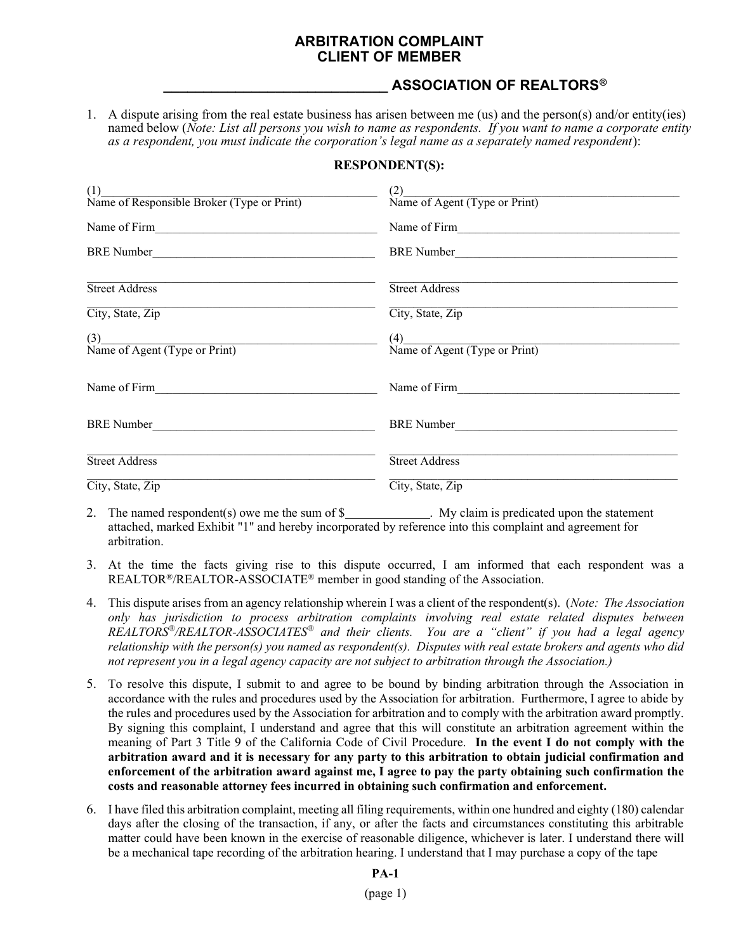## ARBITRATION COMPLAINT CLIENT OF MEMBER

## ASSOCIATION OF REALTORS®

1. A dispute arising from the real estate business has arisen between me (us) and the person(s) and/or entity(ies) named below (Note: List all persons you wish to name as respondents. If you want to name a corporate entity as a respondent, you must indicate the corporation's legal name as a separately named respondent):

## RESPONDENT(S):

| (1)<br>Name of Responsible Broker (Type or Print)  | (2)<br>$(2)$<br>Name of Agent (Type or Print) |
|----------------------------------------------------|-----------------------------------------------|
| Name of Firm                                       | Name of Firm                                  |
| BRE Number                                         | BRE Number                                    |
| <b>Street Address</b>                              | <b>Street Address</b>                         |
| City, State, Zip                                   | City, State, Zip                              |
| $\frac{(3)}{\text{Name of Agent (Type or Print)}}$ | $(4)$<br>Name of Agent (Type or Print)        |
| Name of Firm                                       | Name of Firm                                  |
| <b>BRE</b> Number                                  | BRE Number                                    |
| <b>Street Address</b>                              | <b>Street Address</b>                         |
| City, State, Zip                                   | City, State, Zip                              |

- 2. The named respondent(s) owe me the sum of  $\frac{1}{2}$  My claim is predicated upon the statement attached, marked Exhibit "1" and hereby incorporated by reference into this complaint and agreement for arbitration.
- 3. At the time the facts giving rise to this dispute occurred, I am informed that each respondent was a REALTOR®/REALTOR-ASSOCIATE® member in good standing of the Association.
- 4. This dispute arises from an agency relationship wherein I was a client of the respondent(s). (Note: The Association only has jurisdiction to process arbitration complaints involving real estate related disputes between REALTORS<sup>®</sup>/REALTOR-ASSOCIATES<sup>®</sup> and their clients. You are a "client" if you had a legal agency relationship with the person(s) you named as respondent(s). Disputes with real estate brokers and agents who did not represent you in a legal agency capacity are not subject to arbitration through the Association.)
- 5. To resolve this dispute, I submit to and agree to be bound by binding arbitration through the Association in accordance with the rules and procedures used by the Association for arbitration. Furthermore, I agree to abide by the rules and procedures used by the Association for arbitration and to comply with the arbitration award promptly. By signing this complaint, I understand and agree that this will constitute an arbitration agreement within the meaning of Part 3 Title 9 of the California Code of Civil Procedure. In the event I do not comply with the arbitration award and it is necessary for any party to this arbitration to obtain judicial confirmation and enforcement of the arbitration award against me, I agree to pay the party obtaining such confirmation the costs and reasonable attorney fees incurred in obtaining such confirmation and enforcement.
- 6. I have filed this arbitration complaint, meeting all filing requirements, within one hundred and eighty (180) calendar days after the closing of the transaction, if any, or after the facts and circumstances constituting this arbitrable matter could have been known in the exercise of reasonable diligence, whichever is later. I understand there will be a mechanical tape recording of the arbitration hearing. I understand that I may purchase a copy of the tape

## PA-1

(page 1)